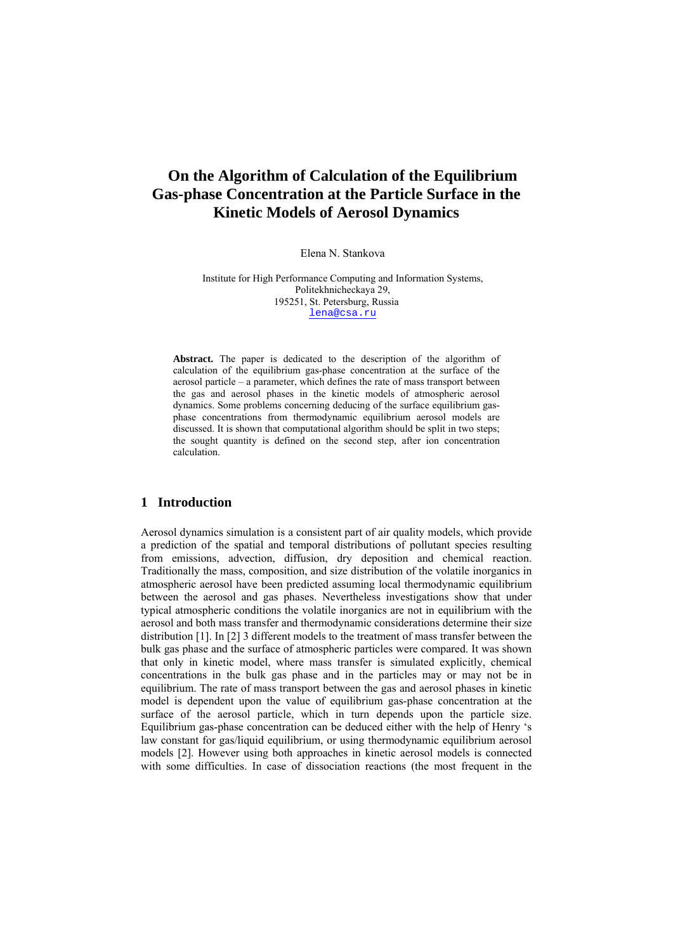# **On the Algorithm of Calculation of the Equilibrium Gas-phase Concentration at the Particle Surface in the Kinetic Models of Aerosol Dynamics**

#### Elena N. Stankova

Institute for High Performance Computing and Information Systems, Politekhnicheckaya 29, 195251, St. Petersburg, Russia [lena@csa.ru](mailto:lena@csa.ru)

**Abstract.** The paper is dedicated to the description of the algorithm of calculation of the equilibrium gas-phase concentration at the surface of the aerosol particle – a parameter, which defines the rate of mass transport between the gas and aerosol phases in the kinetic models of atmospheric aerosol dynamics. Some problems concerning deducing of the surface equilibrium gasphase concentrations from thermodynamic equilibrium aerosol models are discussed. It is shown that computational algorithm should be split in two steps; the sought quantity is defined on the second step, after ion concentration calculation.

## **1 Introduction**

Aerosol dynamics simulation is a consistent part of air quality models, which provide a prediction of the spatial and temporal distributions of pollutant species resulting from emissions, advection, diffusion, dry deposition and chemical reaction. Traditionally the mass, composition, and size distribution of the volatile inorganics in atmospheric aerosol have been predicted assuming local thermodynamic equilibrium between the aerosol and gas phases. Nevertheless investigations show that under typical atmospheric conditions the volatile inorganics are not in equilibrium with the aerosol and both mass transfer and thermodynamic considerations determine their size distribution [1]. In [2] 3 different models to the treatment of mass transfer between the bulk gas phase and the surface of atmospheric particles were compared. It was shown that only in kinetic model, where mass transfer is simulated explicitly, chemical concentrations in the bulk gas phase and in the particles may or may not be in equilibrium. The rate of mass transport between the gas and aerosol phases in kinetic model is dependent upon the value of equilibrium gas-phase concentration at the surface of the aerosol particle, which in turn depends upon the particle size. Equilibrium gas-phase concentration can be deduced either with the help of Henry 's law constant for gas/liquid equilibrium, or using thermodynamic equilibrium aerosol models [2]. However using both approaches in kinetic aerosol models is connected with some difficulties. In case of dissociation reactions (the most frequent in the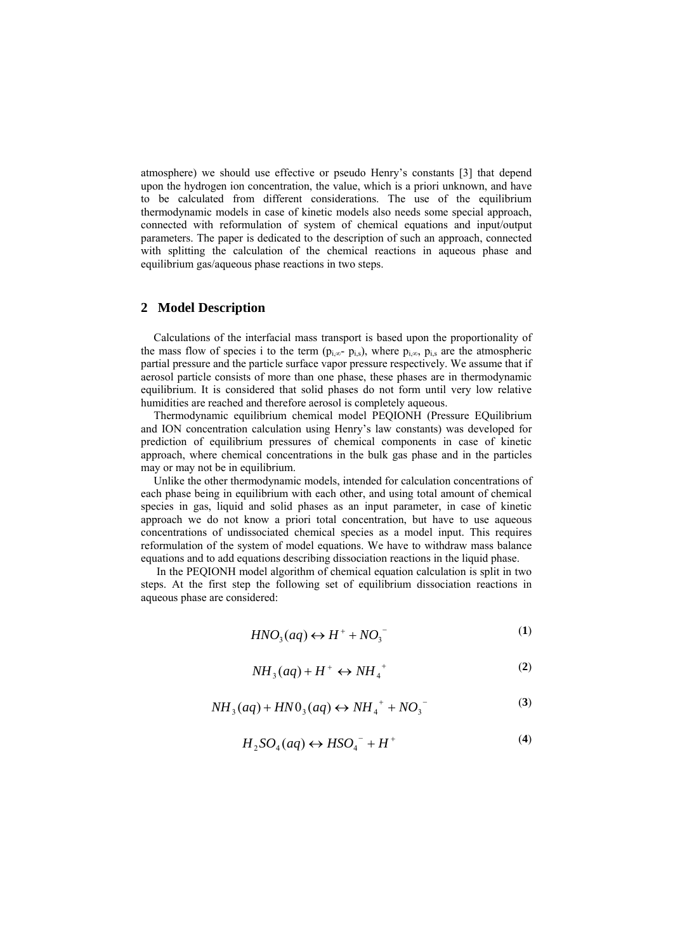atmosphere) we should use effective or pseudo Henry's constants [3] that depend upon the hydrogen ion concentration, the value, which is a priori unknown, and have to be calculated from different considerations. The use of the equilibrium thermodynamic models in case of kinetic models also needs some special approach, connected with reformulation of system of chemical equations and input/output parameters. The paper is dedicated to the description of such an approach, connected with splitting the calculation of the chemical reactions in aqueous phase and equilibrium gas/aqueous phase reactions in two steps.

## **2 Model Description**

Calculations of the interfacial mass transport is based upon the proportionality of the mass flow of species i to the term  $(p_{i,\infty}, p_{i,s})$ , where  $p_{i,\infty}, p_{i,s}$  are the atmospheric partial pressure and the particle surface vapor pressure respectively. We assume that if aerosol particle consists of more than one phase, these phases are in thermodynamic equilibrium. It is considered that solid phases do not form until very low relative humidities are reached and therefore aerosol is completely aqueous.

Thermodynamic equilibrium chemical model PEQIONH (Pressure EQuilibrium and ION concentration calculation using Henry's law constants) was developed for prediction of equilibrium pressures of chemical components in case of kinetic approach, where chemical concentrations in the bulk gas phase and in the particles may or may not be in equilibrium.

Unlike the other thermodynamic models, intended for calculation concentrations of each phase being in equilibrium with each other, and using total amount of chemical species in gas, liquid and solid phases as an input parameter, in case of kinetic approach we do not know a priori total concentration, but have to use aqueous concentrations of undissociated chemical species as a model input. This requires reformulation of the system of model equations. We have to withdraw mass balance equations and to add equations describing dissociation reactions in the liquid phase.

 In the PEQIONH model algorithm of chemical equation calculation is split in two steps. At the first step the following set of equilibrium dissociation reactions in aqueous phase are considered:

$$
HNO3(aq) \leftrightarrow H^{+} + NO_{3}^{-}
$$
 (1)

$$
NH_3(aq) + H^+ \leftrightarrow NH_4^+ \tag{2}
$$

$$
NH_3(aq) + HNO_3(aq) \leftrightarrow NH_4^+ + NO_3^-
$$
 (3)

$$
H_2SO_4(aq) \leftrightarrow HSO_4^- + H^+ \tag{4}
$$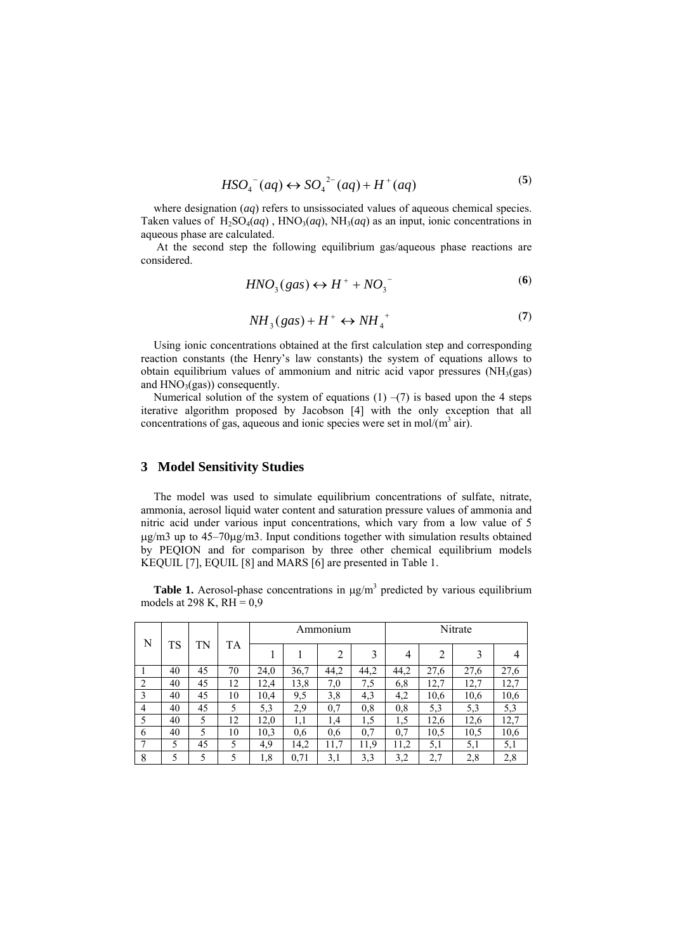$$
HSO_{4}^{-}(aq) \leftrightarrow SO_{4}^{2-}(aq) + H^{+}(aq)
$$
 (5)

where designation (*aq*) refers to unsissociated values of aqueous chemical species. Taken values of  $H_2SO_4(aq)$ ,  $HNO_3(aq)$ ,  $NH_3(aq)$  as an input, ionic concentrations in aqueous phase are calculated.

 At the second step the following equilibrium gas/aqueous phase reactions are considered.

$$
HNO3(gas) \leftrightarrow H+ + NO3-
$$
 (6)

$$
NH_3(gas) + H^+ \leftrightarrow NH_4^+ \tag{7}
$$

Using ionic concentrations obtained at the first calculation step and corresponding reaction constants (the Henry's law constants) the system of equations allows to obtain equilibrium values of ammonium and nitric acid vapor pressures  $(NH_3(gas))$ and  $HNO<sub>3</sub>(gas)$ ) consequently.

Numerical solution of the system of equations  $(1)$  – $(7)$  is based upon the 4 steps iterative algorithm proposed by Jacobson [4] with the only exception that all concentrations of gas, aqueous and ionic species were set in mol/ $(m<sup>3</sup> air)$ .

### **3 Model Sensitivity Studies**

The model was used to simulate equilibrium concentrations of sulfate, nitrate, ammonia, aerosol liquid water content and saturation pressure values of ammonia and nitric acid under various input concentrations, which vary from a low value of 5 μg/m3 up to 45–70μg/m3. Input conditions together with simulation results obtained by PEQION and for comparison by three other chemical equilibrium models KEQUIL [7], EQUIL [8] and MARS [6] are presented in Table 1.

**Table 1.** Aerosol-phase concentrations in  $\mu$ g/m<sup>3</sup> predicted by various equilibrium models at 298 K,  $RH = 0.9$ 

| N             | TS | TN | TA | Ammonium |      |                |      | Nitrate |                |      |      |
|---------------|----|----|----|----------|------|----------------|------|---------|----------------|------|------|
|               |    |    |    |          |      | $\overline{2}$ | 3    | 4       | $\overline{2}$ | 3    | 4    |
|               | 40 | 45 | 70 | 24,0     | 36,7 | 44,2           | 44,2 | 44,2    | 27,6           | 27,6 | 27,6 |
| 2             | 40 | 45 | 12 | 12,4     | 13,8 | 7,0            | 7,5  | 6,8     | 12,7           | 12,7 | 12,7 |
| 3             | 40 | 45 | 10 | 10,4     | 9,5  | 3,8            | 4,3  | 4,2     | 10,6           | 10,6 | 10,6 |
| 4             | 40 | 45 | 5  | 5,3      | 2,9  | 0,7            | 0,8  | 0,8     | 5,3            | 5,3  | 5,3  |
| 5             | 40 | 5  | 12 | 12,0     | 1,1  | 1,4            | 1,5  | 1.5     | 12,6           | 12,6 | 12,7 |
| 6             | 40 | 5  | 10 | 10,3     | 0.6  | 0,6            | 0,7  | 0,7     | 10,5           | 10,5 | 10,6 |
| $\mathcal{I}$ | 5  | 45 | 5  | 4,9      | 14.2 | 11,7           | 11,9 | 11,2    | 5,1            | 5,1  | 5,1  |
| 8             | 5  | 5  | 5  | 1,8      | 0,71 | 3,1            | 3,3  | 3,2     | 2,7            | 2,8  | 2,8  |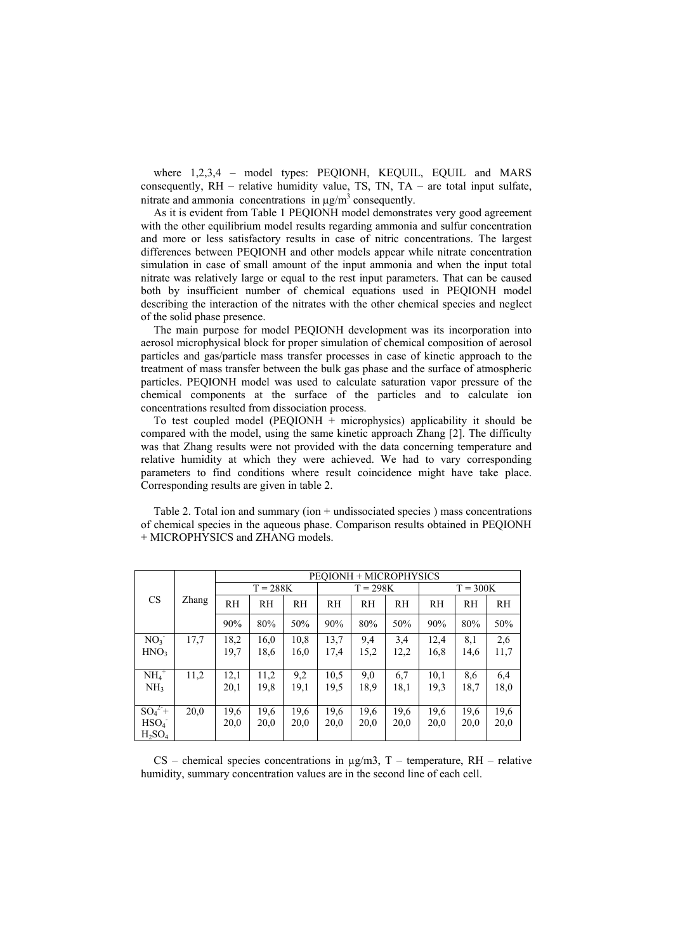where  $1,2,3,4$  – model types: PEQIONH, KEQUIL, EQUIL and MARS consequently,  $RH$  – relative humidity value, TS, TN, TA – are total input sulfate, nitrate and ammonia concentrations in  $\mu$ g/m<sup>3</sup> consequently.

As it is evident from Table 1 PEQIONH model demonstrates very good agreement with the other equilibrium model results regarding ammonia and sulfur concentration and more or less satisfactory results in case of nitric concentrations. The largest differences between PEQIONH and other models appear while nitrate concentration simulation in case of small amount of the input ammonia and when the input total nitrate was relatively large or equal to the rest input parameters. That can be caused both by insufficient number of chemical equations used in PEQIONH model describing the interaction of the nitrates with the other chemical species and neglect of the solid phase presence.

The main purpose for model PEQIONH development was its incorporation into aerosol microphysical block for proper simulation of chemical composition of aerosol particles and gas/particle mass transfer processes in case of kinetic approach to the treatment of mass transfer between the bulk gas phase and the surface of atmospheric particles. PEQIONH model was used to calculate saturation vapor pressure of the chemical components at the surface of the particles and to calculate ion concentrations resulted from dissociation process.

To test coupled model (PEQIONH + microphysics) applicability it should be compared with the model, using the same kinetic approach Zhang [2]. The difficulty was that Zhang results were not provided with the data concerning temperature and relative humidity at which they were achieved. We had to vary corresponding parameters to find conditions where result coincidence might have take place. Corresponding results are given in table 2.

Table 2. Total ion and summary (ion + undissociated species ) mass concentrations of chemical species in the aqueous phase. Comparison results obtained in PEQIONH + MICROPHYSICS and ZHANG models.

|                            | Zhang | PEOIONH + MICROPHYSICS |           |           |            |           |      |            |           |      |
|----------------------------|-------|------------------------|-----------|-----------|------------|-----------|------|------------|-----------|------|
|                            |       | $T = 288K$             |           |           | $T = 298K$ |           |      | $T = 300K$ |           |      |
| <b>CS</b>                  |       | <b>RH</b>              | <b>RH</b> | <b>RH</b> | <b>RH</b>  | <b>RH</b> | RH   | <b>RH</b>  | <b>RH</b> | RH   |
|                            |       | 90%                    | 80%       | 50%       | 90%        | 80%       | 50%  | 90%        | 80%       | 50%  |
| NO <sub>3</sub>            | 17.7  | 18,2                   | 16,0      | 10,8      | 13.7       | 9.4       | 3,4  | 12,4       | 8.1       | 2,6  |
| HNO <sub>3</sub>           |       | 19.7                   | 18,6      | 16,0      | 17.4       | 15,2      | 12,2 | 16.8       | 14,6      | 11,7 |
|                            |       |                        |           |           |            |           |      |            |           |      |
| $\overline{\text{NH}_4}^+$ | 11,2  | 12,1                   | 11,2      | 9,2       | 10.5       | 9,0       | 6,7  | 10,1       | 8,6       | 6,4  |
| NH <sub>3</sub>            |       | 20,1                   | 19.8      | 19,1      | 19.5       | 18.9      | 18,1 | 19.3       | 18.7      | 18,0 |
|                            |       |                        |           |           |            |           |      |            |           |      |
| $SO_4^2$ +                 | 20,0  | 19,6                   | 19,6      | 19,6      | 19,6       | 19,6      | 19,6 | 19.6       | 19,6      | 19,6 |
| HSO <sub>4</sub>           |       | 20,0                   | 20,0      | 20,0      | 20,0       | 20,0      | 20,0 | 20,0       | 20,0      | 20,0 |
| $H_2SO_4$                  |       |                        |           |           |            |           |      |            |           |      |

 $CS$  – chemical species concentrations in  $\mu$ g/m3, T – temperature, RH – relative humidity, summary concentration values are in the second line of each cell.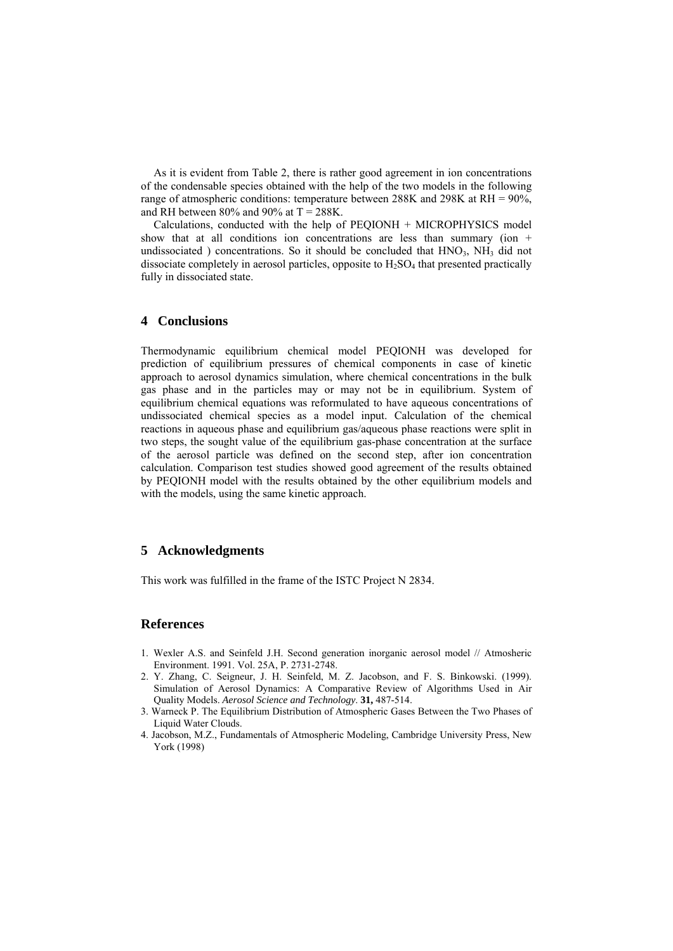As it is evident from Table 2, there is rather good agreement in ion concentrations of the condensable species obtained with the help of the two models in the following range of atmospheric conditions: temperature between  $288K$  and  $298K$  at RH =  $90\%$ , and RH between  $80\%$  and  $90\%$  at T = 288K.

Calculations, conducted with the help of PEQIONH + MICROPHYSICS model show that at all conditions ion concentrations are less than summary (ion + undissociated ) concentrations. So it should be concluded that  $HNO<sub>3</sub>$ ,  $NH<sub>3</sub>$  did not dissociate completely in aerosol particles, opposite to  $H_2SO_4$  that presented practically fully in dissociated state.

### **4 Conclusions**

Thermodynamic equilibrium chemical model PEQIONH was developed for prediction of equilibrium pressures of chemical components in case of kinetic approach to aerosol dynamics simulation, where chemical concentrations in the bulk gas phase and in the particles may or may not be in equilibrium. System of equilibrium chemical equations was reformulated to have aqueous concentrations of undissociated chemical species as a model input. Calculation of the chemical reactions in aqueous phase and equilibrium gas/aqueous phase reactions were split in two steps, the sought value of the equilibrium gas-phase concentration at the surface of the aerosol particle was defined on the second step, after ion concentration calculation. Comparison test studies showed good agreement of the results obtained by PEQIONH model with the results obtained by the other equilibrium models and with the models, using the same kinetic approach.

#### **5 Acknowledgments**

This work was fulfilled in the frame of the ISTC Project N 2834.

#### **References**

- 1. Wexler A.S. and Seinfeld J.H. Second generation inorganic aerosol model // Atmosheric Environment. 1991. Vol. 25A, P. 2731-2748.
- 2. Y. Zhang, C. Seigneur, J. H. Seinfeld, M. Z. Jacobson, and F. S. Binkowski. (1999). Simulation of Aerosol Dynamics: A Comparative Review of Algorithms Used in Air Quality Models. *Aerosol Science and Technology*. **31,** 487-514.
- 3. Warneck P. The Equilibrium Distribution of Atmospheric Gases Between the Two Phases of Liquid Water Clouds.
- 4. Jacobson, M.Z., Fundamentals of Atmospheric Modeling, Cambridge University Press, New York (1998)